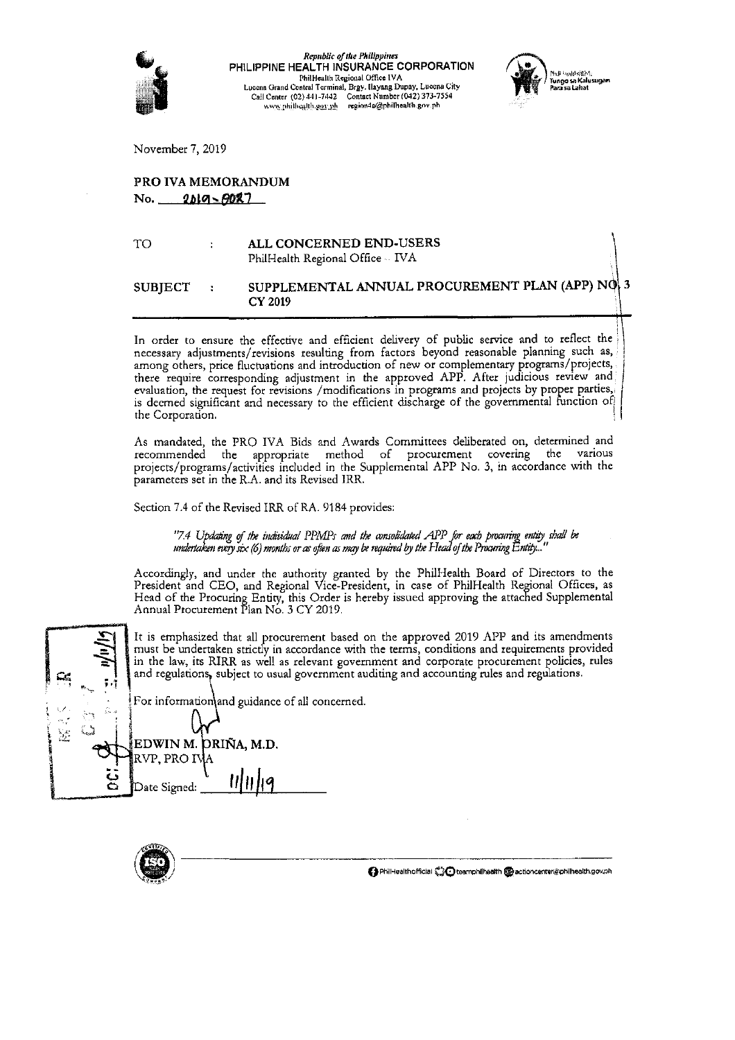

Republic of the Philippines PHILIPPINE HEALTH INSURANCE CORPORATION PhilHealth Regional Office IVA Lucena Grand Central Terminal, Brgy. Ilayang Dupay, Lucena City Call Center (02) 441-7442 Contact Number (042) 373-7554<br>www.philhealth.gov.ph region4a@philhealth.gov.ph



November 7, 2019

# PRO IVA MEMORANDUM No. 2019-8027

ALL CONCERNED END-USERS TO  $\ddot{\phantom{0}}$ PhilHealth Regional Office -- IVA

#### SUPPLEMENTAL ANNUAL PROCUREMENT PLAN (APP) NO 3 **SUBJECT CY 2019**

In order to ensure the effective and efficient delivery of public service and to reflect the necessary adjustments/revisions resulting from factors beyond reasonable planning such as, among others, price fluctuations and i there require corresponding adjustment in the approved APP. After judicious review and evaluation, the request for revisions /modifications in programs and projects by proper parties, is deemed significant and necessary to the efficient discharge of the governmental function of the Corporation.

As mandated, the PRO IVA Bids and Awards Committees deliberated on, determined and recommended the appropriate method of procurement covering the various projects/programs/activities included in the Supplemental APP No. 3, in accordance with the parameters set in the R.A. and its Revised IRR.

Section 7.4 of the Revised IRR of RA. 9184 provides:

"7.4 Updating of the individual PPMPs and the consolidated APP for each procuring entity shall be undertaken every six (6) months or as often as may be required by the Head of the Procuring Entity...

Accordingly, and under the authority granted by the PhilHealth Board of Directors to the President and CEO, and Regional Vice-President, in case of PhilHealth Regional Offices, as Head of the Procuring Entity, this Order is hereby issued approving the attached Supplemental<br>Annual Procurement Pian No. 3 CY 2019.

It is emphasized that all procurement based on the approved 2019 APP and its amendments must be undertaken strictly in accordance with the terms, conditions and requirements provided in the law, its RIRR as well as relevant government and corporate procurement policies, rules and regulations, subject to usual government auditing and accounting rules and regulations. For information and guidance of all concerned. EDWIN M. ORIÑA. M.D.

RVP, PRO IV

Date Signed:

y.

● PhilHealthofficial Coleemphilhealth @actioncenter@philhealth.gov.ph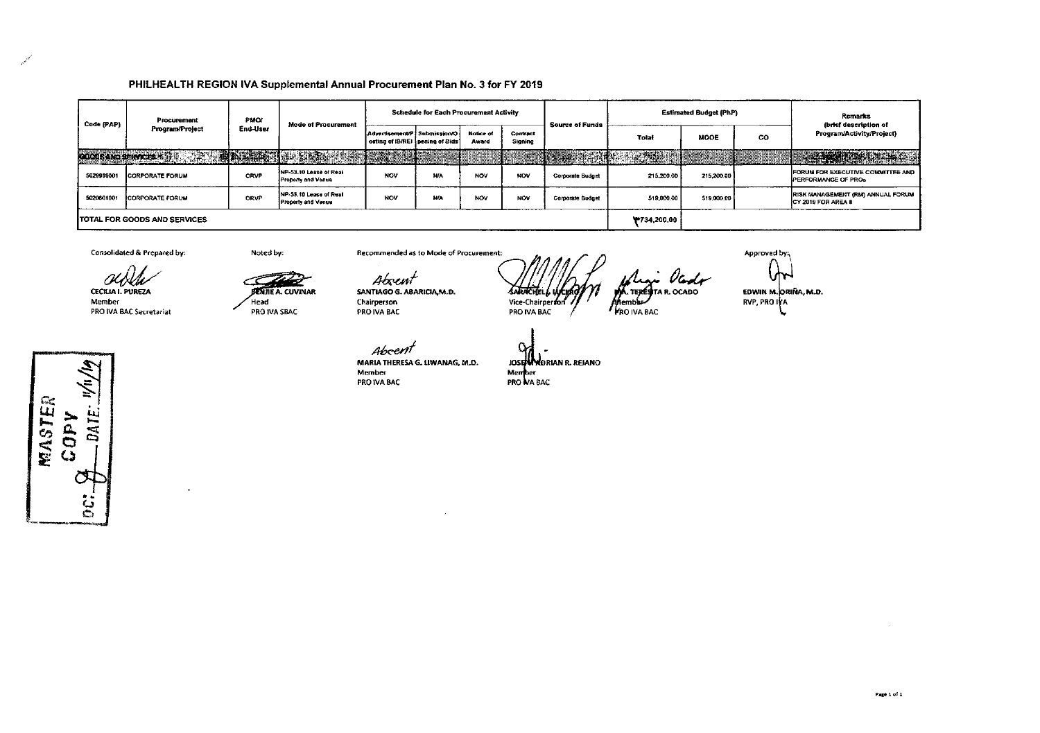## PHILHEALTH REGION IVA Supplemental Annual Procurement Plan No. 3 for FY 2019

| Code (PAP)                          | Procurement<br>Program/Project | <b>PMOJ</b><br>End-User | <b>Mode of Procurement</b>                          | <b>Schedule for Each Procurement Activity</b>                          |                      |                    |                     | <b>Source of Funds</b>  |                   | <b>Estimated Budget (PhP)</b> |    | <b>Remarks</b><br>(brief description of                          |
|-------------------------------------|--------------------------------|-------------------------|-----------------------------------------------------|------------------------------------------------------------------------|----------------------|--------------------|---------------------|-------------------------|-------------------|-------------------------------|----|------------------------------------------------------------------|
|                                     |                                |                         |                                                     | Advertisement/P $i$ Submission O .<br>osting of IB/REI pening of Bids' |                      | Notice of<br>Award | Contract<br>Signing |                         | Total             | <b>MODE</b>                   | CO | Program/Activity/Project)                                        |
| <b>GOODS AND SERVE EST</b>          |                                |                         | THE REPORT OF STREET                                | <b>RESIDENT</b>                                                        |                      |                    |                     | s ne dan                | <b>CARD AND A</b> |                               |    | <b>TEACHER AND TEACHER</b>                                       |
| 5029999001                          | <b>CORPORATE FORUM</b>         | <b>ORVP</b>             | NP-53.10 Lease of Real<br><b>Property and Venue</b> | <b>NOV</b>                                                             | <b>N/A</b><br>------ | NOV                | NOV                 | <b>Corporate Budget</b> | 215,200.00        | 215,200.00                    |    | FORUM FOR EXECUTIVE COMMITTEE AND<br><b>IPERFORMANCE OF PROS</b> |
| 5020601001                          | <b>CORPORATE FORUM</b>         | <b>CRVP</b>             | INP-53.10 Lease of Real<br>Property and Venue       | <b>NOV</b>                                                             | NHA                  | NOV                | <b>NOV</b>          | <b>Corporate Budget</b> | 519,000.00        | 519,000.00                    |    | <b>RISK MANAGEMENT (RM) ANNUAL FORUM</b><br>CY 2019 FOR AREA II  |
| <b>TOTAL FOR GOODS AND SERVICES</b> |                                |                         |                                                     |                                                                        |                      |                    |                     |                         | ¥734,200.00       |                               |    |                                                                  |

Consolidated & Prepared by:

CECILIA I. PUREZA

PRO IVA BAC Secretariat

Member

Noted by:

Head

**BENJIE A. CUVINAR** 

PRO IVA SBAC

Recommended as to Mode of Procurement:

Aboem

SANTIAGO G. ABARICIA, M.D. Chairperson PRO IVA BAC

Vice-Chairperson Åemnbu PRO IVA BAC **FRO IVA BAC** 

TERESTAR OCADO

<sup>I</sup>landson

Approved by:

EDWIN M. ORIÑA, M.D. **RVP, PRO IVA** 

N MASTER COPY DATE:  $\frac{1}{2}$ 

Abceni MARIA THERESA G. LIWANAG, M.D. Member PRO IVA BAC

JOSEN MORIAN R. REJANO Member<br>PRO NA BAC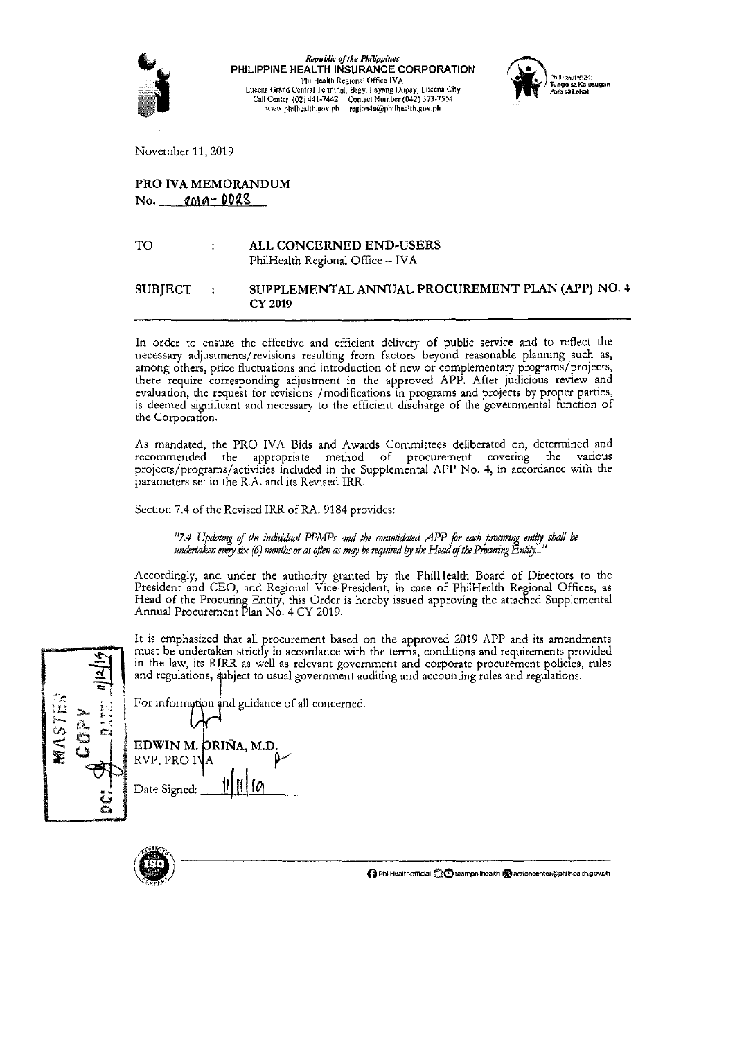

 $\label{eq:reprblic} \begin{array}{c} \textit{Republic of the Philippines} \\ \textit{PHILIPPINE HEADITH} \\ \end{array}$ PhilHealth Regional Office IVA<br>Lucena Grand Central Terminal, Brgy. Ilayang Dupay, Lucena City<br>Call Center (02) 441-7442 Contact Number (042) 373-7554<br>www.philhealth.gov.ph



November 11, 2019

# PRO IVA MEMORANDUM  $No.$  2019 - 0028

TO ALL CONCERNED END-USERS  $\mathbf{r}$ PhilHealth Regional Office - IVA

#### **SUBJECT** SUPPLEMENTAL ANNUAL PROCUREMENT PLAN (APP) NO. 4  $\overline{1}$ CY 2019

In order to ensure the effective and efficient delivery of public service and to reflect the necessary adjustments/revisions resulting from factors beyond reasonable planning such as, among others, price fluctuations and introduction of new or complementary programs/projects, there require corresponding adjustment in the approved APP. After judicious review and evaluation, the request for revisions /modifications in programs and projects by proper parties, is deemed significant and necessary to the efficient discharge of the governmental function of the Corporation.

As mandated, the PRO IVA Bids and Awards Committees deliberated on, determined and recommended the appropriate method of procurement covering the various projects/programs/activities included in the Supplemental APP No. 4, in accordance with the parameters set in the R.A. and its Revised IRR.

Section 7.4 of the Revised IRR of RA. 9184 provides:

"7.4 Updating of the individual PPMPs and the consolidated APP for each procuring entity shall be undertaken every six  $(6)$  months or as often as may be required by the Head of the Procuring Entity...

Accordingly, and under the authority granted by the PhilHealth Board of Directors to the President and CEO, and Regional Vice-President, in case of PhilHealth Regional Offices, as Head of the Procuring Entity, this Order i Annual Procurement Plan No. 4 CY 2019.

| $\frac{1}{2}$                           | It is emphasized that all procurement based on the approved 2019 APP and its amendments<br>must be undertaken strictly in accordance with the terms, conditions and requirements provided<br>in the law, its RIRR as well as relevant government and corporate procurement policies, rules<br>and regulations, subject to usual government auditing and accounting rules and regulations. |
|-----------------------------------------|-------------------------------------------------------------------------------------------------------------------------------------------------------------------------------------------------------------------------------------------------------------------------------------------------------------------------------------------------------------------------------------------|
| $\frac{1}{2}$ $\approx$ $\frac{10}{10}$ | For information and guidance of all concerned.                                                                                                                                                                                                                                                                                                                                            |

| <b>MASTE</b> | É<br>in<br>Dist<br>Ľ |
|--------------|----------------------|
|              | $\ddot{a}$           |

| L'OL HHOITIRIQUII sud guidance OI an co |  |
|-----------------------------------------|--|
| EDWIN M. ORIÑA, M.D.<br>RVP, PRO IVA    |  |
| 11/10<br>Date Signed:                   |  |

O PhilHealthofficial CC teamphilhealth @actioncenter@philhealth.gov.ph